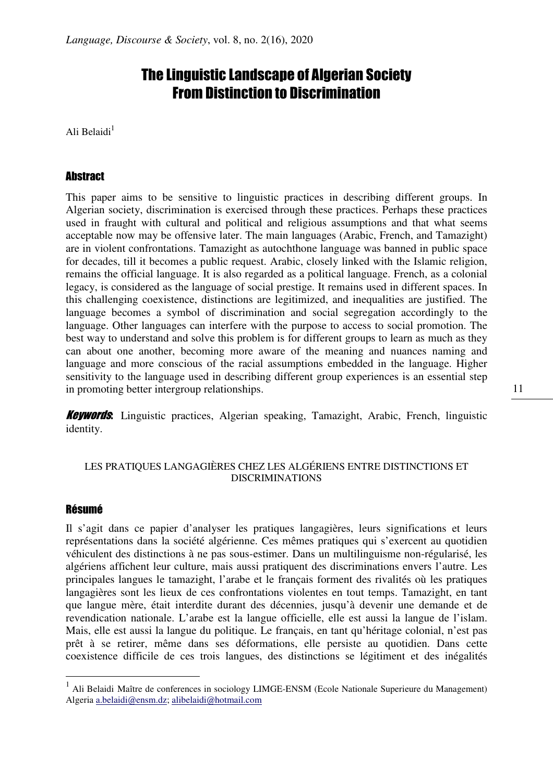Ali Belaidi<sup>1</sup>

#### **Abstract**

This paper aims to be sensitive to linguistic practices in describing different groups. In Algerian society, discrimination is exercised through these practices. Perhaps these practices used in fraught with cultural and political and religious assumptions and that what seems acceptable now may be offensive later. The main languages (Arabic, French, and Tamazight) are in violent confrontations. Tamazight as autochthone language was banned in public space for decades, till it becomes a public request. Arabic, closely linked with the Islamic religion, remains the official language. It is also regarded as a political language. French, as a colonial legacy, is considered as the language of social prestige. It remains used in different spaces. In this challenging coexistence, distinctions are legitimized, and inequalities are justified. The language becomes a symbol of discrimination and social segregation accordingly to the language. Other languages can interfere with the purpose to access to social promotion. The best way to understand and solve this problem is for different groups to learn as much as they can about one another, becoming more aware of the meaning and nuances naming and language and more conscious of the racial assumptions embedded in the language. Higher sensitivity to the language used in describing different group experiences is an essential step in promoting better intergroup relationships.

**Keywords:** Linguistic practices, Algerian speaking, Tamazight, Arabic, French, linguistic identity.

#### LES PRATIQUES LANGAGIÈRES CHEZ LES ALGÉRIENS ENTRE DISTINCTIONS ET DISCRIMINATIONS

#### Résumé

 $\overline{a}$ 

Il s'agit dans ce papier d'analyser les pratiques langagières, leurs significations et leurs représentations dans la société algérienne. Ces mêmes pratiques qui s'exercent au quotidien véhiculent des distinctions à ne pas sous-estimer. Dans un multilinguisme non-régularisé, les algériens affichent leur culture, mais aussi pratiquent des discriminations envers l'autre. Les principales langues le tamazight, l'arabe et le français forment des rivalités où les pratiques langagières sont les lieux de ces confrontations violentes en tout temps. Tamazight, en tant que langue mère, était interdite durant des décennies, jusqu'à devenir une demande et de revendication nationale. L'arabe est la langue officielle, elle est aussi la langue de l'islam. Mais, elle est aussi la langue du politique. Le français, en tant qu'héritage colonial, n'est pas prêt à se retirer, même dans ses déformations, elle persiste au quotidien. Dans cette coexistence difficile de ces trois langues, des distinctions se légitiment et des inégalités

<sup>1</sup> Ali Belaidi Maître de conferences in sociology LIMGE-ENSM (Ecole Nationale Superieure du Management) Algeria a.belaidi@ensm.dz; alibelaidi@hotmail.com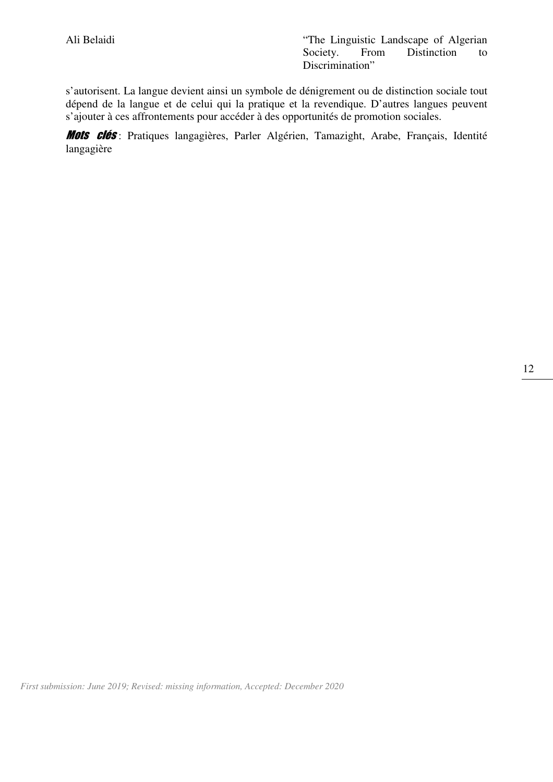s'autorisent. La langue devient ainsi un symbole de dénigrement ou de distinction sociale tout dépend de la langue et de celui qui la pratique et la revendique. D'autres langues peuvent s'ajouter à ces affrontements pour accéder à des opportunités de promotion sociales.

Mots clés: Pratiques langagières, Parler Algérien, Tamazight, Arabe, Français, Identité langagière

*First submission: June 2019; Revised: missing information, Accepted: December 2020*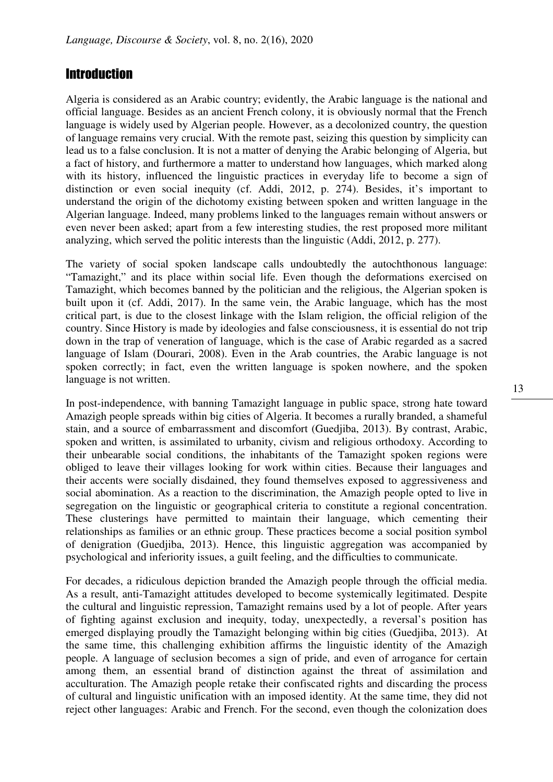### **Introduction**

Algeria is considered as an Arabic country; evidently, the Arabic language is the national and official language. Besides as an ancient French colony, it is obviously normal that the French language is widely used by Algerian people. However, as a decolonized country, the question of language remains very crucial. With the remote past, seizing this question by simplicity can lead us to a false conclusion. It is not a matter of denying the Arabic belonging of Algeria, but a fact of history, and furthermore a matter to understand how languages, which marked along with its history, influenced the linguistic practices in everyday life to become a sign of distinction or even social inequity (cf. Addi, 2012, p. 274). Besides, it's important to understand the origin of the dichotomy existing between spoken and written language in the Algerian language. Indeed, many problems linked to the languages remain without answers or even never been asked; apart from a few interesting studies, the rest proposed more militant analyzing, which served the politic interests than the linguistic (Addi, 2012, p. 277).

The variety of social spoken landscape calls undoubtedly the autochthonous language: "Tamazight," and its place within social life. Even though the deformations exercised on Tamazight, which becomes banned by the politician and the religious, the Algerian spoken is built upon it (cf. Addi, 2017). In the same vein, the Arabic language, which has the most critical part, is due to the closest linkage with the Islam religion, the official religion of the country. Since History is made by ideologies and false consciousness, it is essential do not trip down in the trap of veneration of language, which is the case of Arabic regarded as a sacred language of Islam (Dourari, 2008). Even in the Arab countries, the Arabic language is not spoken correctly; in fact, even the written language is spoken nowhere, and the spoken language is not written.

In post-independence, with banning Tamazight language in public space, strong hate toward Amazigh people spreads within big cities of Algeria. It becomes a rurally branded, a shameful stain, and a source of embarrassment and discomfort (Guedjiba, 2013). By contrast, Arabic, spoken and written, is assimilated to urbanity, civism and religious orthodoxy. According to their unbearable social conditions, the inhabitants of the Tamazight spoken regions were obliged to leave their villages looking for work within cities. Because their languages and their accents were socially disdained, they found themselves exposed to aggressiveness and social abomination. As a reaction to the discrimination, the Amazigh people opted to live in segregation on the linguistic or geographical criteria to constitute a regional concentration. These clusterings have permitted to maintain their language, which cementing their relationships as families or an ethnic group. These practices become a social position symbol of denigration (Guedjiba, 2013). Hence, this linguistic aggregation was accompanied by psychological and inferiority issues, a guilt feeling, and the difficulties to communicate.

For decades, a ridiculous depiction branded the Amazigh people through the official media. As a result, anti-Tamazight attitudes developed to become systemically legitimated. Despite the cultural and linguistic repression, Tamazight remains used by a lot of people. After years of fighting against exclusion and inequity, today, unexpectedly, a reversal's position has emerged displaying proudly the Tamazight belonging within big cities (Guedjiba, 2013). At the same time, this challenging exhibition affirms the linguistic identity of the Amazigh people. A language of seclusion becomes a sign of pride, and even of arrogance for certain among them, an essential brand of distinction against the threat of assimilation and acculturation. The Amazigh people retake their confiscated rights and discarding the process of cultural and linguistic unification with an imposed identity. At the same time, they did not reject other languages: Arabic and French. For the second, even though the colonization does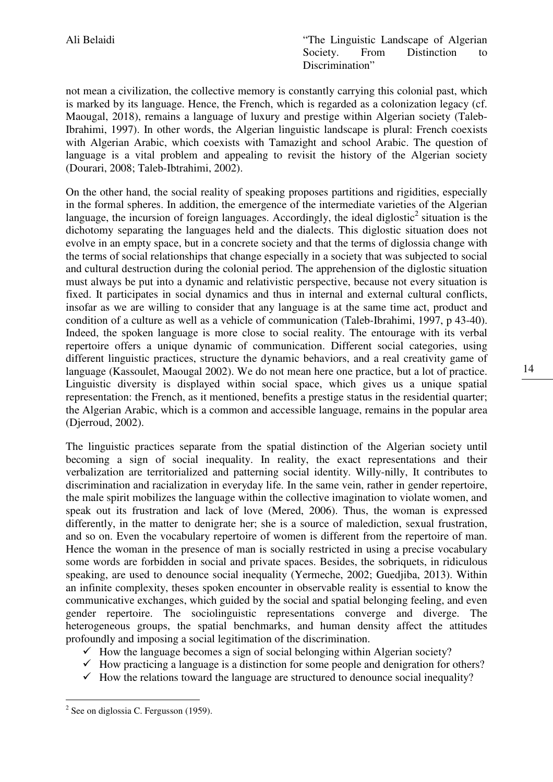not mean a civilization, the collective memory is constantly carrying this colonial past, which is marked by its language. Hence, the French, which is regarded as a colonization legacy (cf. Maougal, 2018), remains a language of luxury and prestige within Algerian society (Taleb-Ibrahimi, 1997). In other words, the Algerian linguistic landscape is plural: French coexists with Algerian Arabic, which coexists with Tamazight and school Arabic. The question of language is a vital problem and appealing to revisit the history of the Algerian society (Dourari, 2008; Taleb-Ibtrahimi, 2002).

On the other hand, the social reality of speaking proposes partitions and rigidities, especially in the formal spheres. In addition, the emergence of the intermediate varieties of the Algerian language, the incursion of foreign languages. Accordingly, the ideal diglostic<sup>2</sup> situation is the dichotomy separating the languages held and the dialects. This diglostic situation does not evolve in an empty space, but in a concrete society and that the terms of diglossia change with the terms of social relationships that change especially in a society that was subjected to social and cultural destruction during the colonial period. The apprehension of the diglostic situation must always be put into a dynamic and relativistic perspective, because not every situation is fixed. It participates in social dynamics and thus in internal and external cultural conflicts, insofar as we are willing to consider that any language is at the same time act, product and condition of a culture as well as a vehicle of communication (Taleb-Ibrahimi, 1997, p 43-40). Indeed, the spoken language is more close to social reality. The entourage with its verbal repertoire offers a unique dynamic of communication. Different social categories, using different linguistic practices, structure the dynamic behaviors, and a real creativity game of language (Kassoulet, Maougal 2002). We do not mean here one practice, but a lot of practice. Linguistic diversity is displayed within social space, which gives us a unique spatial representation: the French, as it mentioned, benefits a prestige status in the residential quarter; the Algerian Arabic, which is a common and accessible language, remains in the popular area (Djerroud, 2002).

The linguistic practices separate from the spatial distinction of the Algerian society until becoming a sign of social inequality. In reality, the exact representations and their verbalization are territorialized and patterning social identity. Willy-nilly, It contributes to discrimination and racialization in everyday life. In the same vein, rather in gender repertoire, the male spirit mobilizes the language within the collective imagination to violate women, and speak out its frustration and lack of love (Mered, 2006). Thus, the woman is expressed differently, in the matter to denigrate her; she is a source of malediction, sexual frustration, and so on. Even the vocabulary repertoire of women is different from the repertoire of man. Hence the woman in the presence of man is socially restricted in using a precise vocabulary some words are forbidden in social and private spaces. Besides, the sobriquets, in ridiculous speaking, are used to denounce social inequality (Yermeche, 2002; Guedjiba, 2013). Within an infinite complexity, theses spoken encounter in observable reality is essential to know the communicative exchanges, which guided by the social and spatial belonging feeling, and even gender repertoire. The sociolinguistic representations converge and diverge. The heterogeneous groups, the spatial benchmarks, and human density affect the attitudes profoundly and imposing a social legitimation of the discrimination.

- $\checkmark$  How the language becomes a sign of social belonging within Algerian society?
- $\checkmark$  How practicing a language is a distinction for some people and denigration for others?
- $\checkmark$  How the relations toward the language are structured to denounce social inequality?

<sup>&</sup>lt;sup>2</sup> See on diglossia C. Fergusson (1959).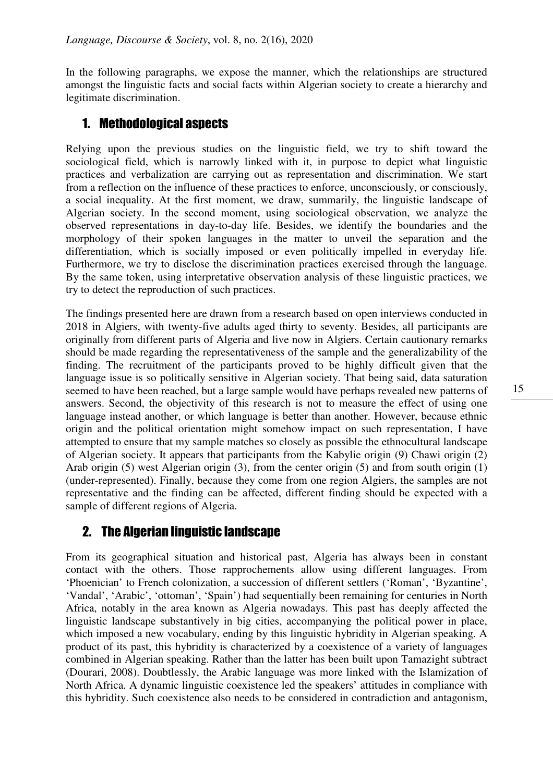In the following paragraphs, we expose the manner, which the relationships are structured amongst the linguistic facts and social facts within Algerian society to create a hierarchy and legitimate discrimination.

### 1. Methodological aspects

Relying upon the previous studies on the linguistic field, we try to shift toward the sociological field, which is narrowly linked with it, in purpose to depict what linguistic practices and verbalization are carrying out as representation and discrimination. We start from a reflection on the influence of these practices to enforce, unconsciously, or consciously, a social inequality. At the first moment, we draw, summarily, the linguistic landscape of Algerian society. In the second moment, using sociological observation, we analyze the observed representations in day-to-day life. Besides, we identify the boundaries and the morphology of their spoken languages in the matter to unveil the separation and the differentiation, which is socially imposed or even politically impelled in everyday life. Furthermore, we try to disclose the discrimination practices exercised through the language. By the same token, using interpretative observation analysis of these linguistic practices, we try to detect the reproduction of such practices.

The findings presented here are drawn from a research based on open interviews conducted in 2018 in Algiers, with twenty-five adults aged thirty to seventy. Besides, all participants are originally from different parts of Algeria and live now in Algiers. Certain cautionary remarks should be made regarding the representativeness of the sample and the generalizability of the finding. The recruitment of the participants proved to be highly difficult given that the language issue is so politically sensitive in Algerian society. That being said, data saturation seemed to have been reached, but a large sample would have perhaps revealed new patterns of answers. Second, the objectivity of this research is not to measure the effect of using one language instead another, or which language is better than another. However, because ethnic origin and the political orientation might somehow impact on such representation, I have attempted to ensure that my sample matches so closely as possible the ethnocultural landscape of Algerian society. It appears that participants from the Kabylie origin (9) Chawi origin (2) Arab origin (5) west Algerian origin (3), from the center origin (5) and from south origin (1) (under-represented). Finally, because they come from one region Algiers, the samples are not representative and the finding can be affected, different finding should be expected with a sample of different regions of Algeria.

### 2. The Algerian linguistic landscape

From its geographical situation and historical past, Algeria has always been in constant contact with the others. Those rapprochements allow using different languages. From 'Phoenician' to French colonization, a succession of different settlers ('Roman', 'Byzantine', 'Vandal', 'Arabic', 'ottoman', 'Spain') had sequentially been remaining for centuries in North Africa, notably in the area known as Algeria nowadays. This past has deeply affected the linguistic landscape substantively in big cities, accompanying the political power in place, which imposed a new vocabulary, ending by this linguistic hybridity in Algerian speaking. A product of its past, this hybridity is characterized by a coexistence of a variety of languages combined in Algerian speaking. Rather than the latter has been built upon Tamazight subtract (Dourari, 2008). Doubtlessly, the Arabic language was more linked with the Islamization of North Africa. A dynamic linguistic coexistence led the speakers' attitudes in compliance with this hybridity. Such coexistence also needs to be considered in contradiction and antagonism,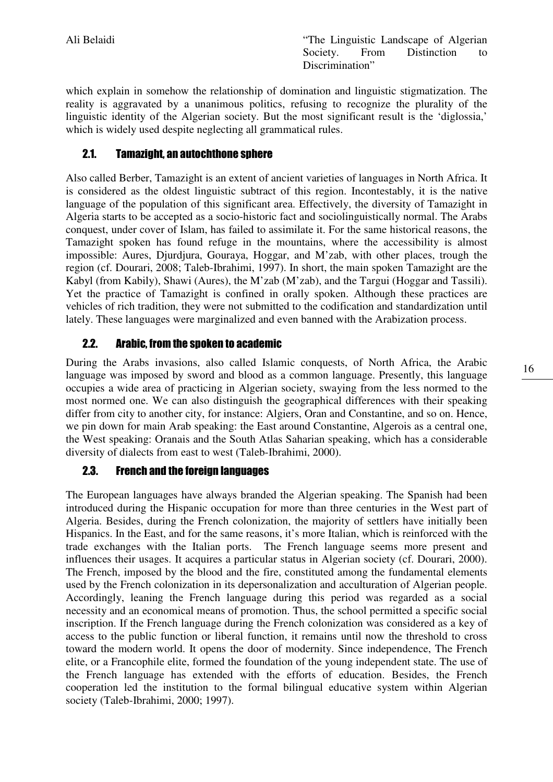which explain in somehow the relationship of domination and linguistic stigmatization. The reality is aggravated by a unanimous politics, refusing to recognize the plurality of the linguistic identity of the Algerian society. But the most significant result is the 'diglossia,' which is widely used despite neglecting all grammatical rules.

#### 2.1. Tamazight, an autochthone sphere

Also called Berber, Tamazight is an extent of ancient varieties of languages in North Africa. It is considered as the oldest linguistic subtract of this region. Incontestably, it is the native language of the population of this significant area. Effectively, the diversity of Tamazight in Algeria starts to be accepted as a socio-historic fact and sociolinguistically normal. The Arabs conquest, under cover of Islam, has failed to assimilate it. For the same historical reasons, the Tamazight spoken has found refuge in the mountains, where the accessibility is almost impossible: Aures, Djurdjura, Gouraya, Hoggar, and M'zab, with other places, trough the region (cf. Dourari, 2008; Taleb-Ibrahimi, 1997). In short, the main spoken Tamazight are the Kabyl (from Kabily), Shawi (Aures), the M'zab (M'zab), and the Targui (Hoggar and Tassili). Yet the practice of Tamazight is confined in orally spoken. Although these practices are vehicles of rich tradition, they were not submitted to the codification and standardization until lately. These languages were marginalized and even banned with the Arabization process.

### 2.2. Arabic, from the spoken to academic

During the Arabs invasions, also called Islamic conquests, of North Africa, the Arabic language was imposed by sword and blood as a common language. Presently, this language occupies a wide area of practicing in Algerian society, swaying from the less normed to the most normed one. We can also distinguish the geographical differences with their speaking differ from city to another city, for instance: Algiers, Oran and Constantine, and so on. Hence, we pin down for main Arab speaking: the East around Constantine, Algerois as a central one, the West speaking: Oranais and the South Atlas Saharian speaking, which has a considerable diversity of dialects from east to west (Taleb-Ibrahimi, 2000).

#### 2.3. French and the foreign languages

The European languages have always branded the Algerian speaking. The Spanish had been introduced during the Hispanic occupation for more than three centuries in the West part of Algeria. Besides, during the French colonization, the majority of settlers have initially been Hispanics. In the East, and for the same reasons, it's more Italian, which is reinforced with the trade exchanges with the Italian ports. The French language seems more present and influences their usages. It acquires a particular status in Algerian society (cf. Dourari, 2000). The French, imposed by the blood and the fire, constituted among the fundamental elements used by the French colonization in its depersonalization and acculturation of Algerian people. Accordingly, leaning the French language during this period was regarded as a social necessity and an economical means of promotion. Thus, the school permitted a specific social inscription. If the French language during the French colonization was considered as a key of access to the public function or liberal function, it remains until now the threshold to cross toward the modern world. It opens the door of modernity. Since independence, The French elite, or a Francophile elite, formed the foundation of the young independent state. The use of the French language has extended with the efforts of education. Besides, the French cooperation led the institution to the formal bilingual educative system within Algerian society (Taleb-Ibrahimi, 2000; 1997).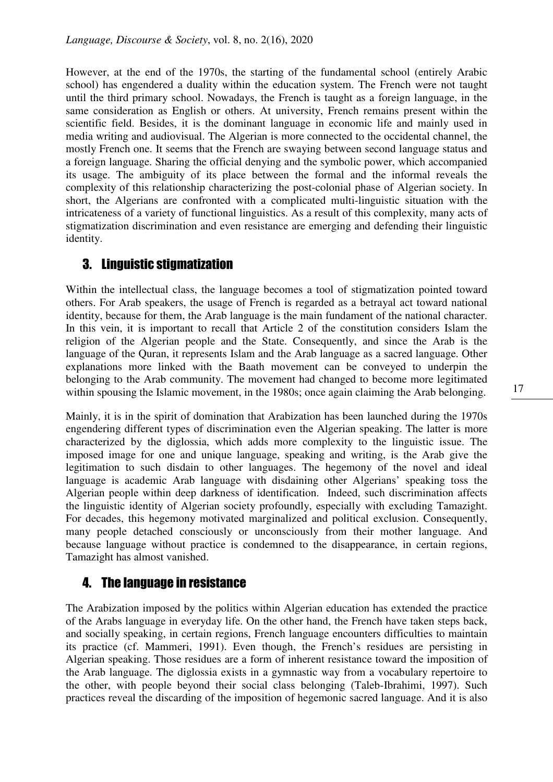However, at the end of the 1970s, the starting of the fundamental school (entirely Arabic school) has engendered a duality within the education system. The French were not taught until the third primary school. Nowadays, the French is taught as a foreign language, in the same consideration as English or others. At university, French remains present within the scientific field. Besides, it is the dominant language in economic life and mainly used in media writing and audiovisual. The Algerian is more connected to the occidental channel, the mostly French one. It seems that the French are swaying between second language status and a foreign language. Sharing the official denying and the symbolic power, which accompanied its usage. The ambiguity of its place between the formal and the informal reveals the complexity of this relationship characterizing the post-colonial phase of Algerian society. In short, the Algerians are confronted with a complicated multi-linguistic situation with the intricateness of a variety of functional linguistics. As a result of this complexity, many acts of stigmatization discrimination and even resistance are emerging and defending their linguistic identity.

### 3. Linguistic stigmatization

Within the intellectual class, the language becomes a tool of stigmatization pointed toward others. For Arab speakers, the usage of French is regarded as a betrayal act toward national identity, because for them, the Arab language is the main fundament of the national character. In this vein, it is important to recall that Article 2 of the constitution considers Islam the religion of the Algerian people and the State. Consequently, and since the Arab is the language of the Quran, it represents Islam and the Arab language as a sacred language. Other explanations more linked with the Baath movement can be conveyed to underpin the belonging to the Arab community. The movement had changed to become more legitimated within spousing the Islamic movement, in the 1980s; once again claiming the Arab belonging.

Mainly, it is in the spirit of domination that Arabization has been launched during the 1970s engendering different types of discrimination even the Algerian speaking. The latter is more characterized by the diglossia, which adds more complexity to the linguistic issue. The imposed image for one and unique language, speaking and writing, is the Arab give the legitimation to such disdain to other languages. The hegemony of the novel and ideal language is academic Arab language with disdaining other Algerians' speaking toss the Algerian people within deep darkness of identification. Indeed, such discrimination affects the linguistic identity of Algerian society profoundly, especially with excluding Tamazight. For decades, this hegemony motivated marginalized and political exclusion. Consequently, many people detached consciously or unconsciously from their mother language. And because language without practice is condemned to the disappearance, in certain regions, Tamazight has almost vanished.

### 4. The language in resistance

The Arabization imposed by the politics within Algerian education has extended the practice of the Arabs language in everyday life. On the other hand, the French have taken steps back, and socially speaking, in certain regions, French language encounters difficulties to maintain its practice (cf. Mammeri, 1991). Even though, the French's residues are persisting in Algerian speaking. Those residues are a form of inherent resistance toward the imposition of the Arab language. The diglossia exists in a gymnastic way from a vocabulary repertoire to the other, with people beyond their social class belonging (Taleb-Ibrahimi, 1997). Such practices reveal the discarding of the imposition of hegemonic sacred language. And it is also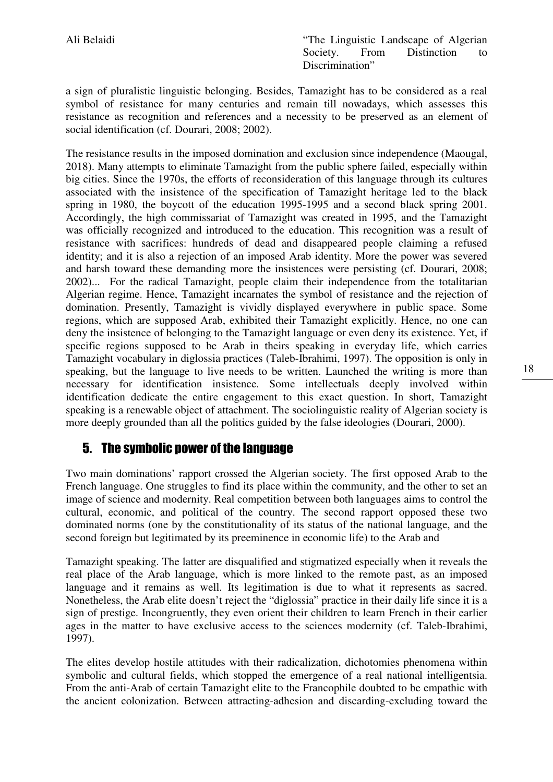a sign of pluralistic linguistic belonging. Besides, Tamazight has to be considered as a real symbol of resistance for many centuries and remain till nowadays, which assesses this resistance as recognition and references and a necessity to be preserved as an element of social identification (cf. Dourari, 2008; 2002).

The resistance results in the imposed domination and exclusion since independence (Maougal, 2018). Many attempts to eliminate Tamazight from the public sphere failed, especially within big cities. Since the 1970s, the efforts of reconsideration of this language through its cultures associated with the insistence of the specification of Tamazight heritage led to the black spring in 1980, the boycott of the education 1995-1995 and a second black spring 2001. Accordingly, the high commissariat of Tamazight was created in 1995, and the Tamazight was officially recognized and introduced to the education. This recognition was a result of resistance with sacrifices: hundreds of dead and disappeared people claiming a refused identity; and it is also a rejection of an imposed Arab identity. More the power was severed and harsh toward these demanding more the insistences were persisting (cf. Dourari, 2008; 2002)... For the radical Tamazight, people claim their independence from the totalitarian Algerian regime. Hence, Tamazight incarnates the symbol of resistance and the rejection of domination. Presently, Tamazight is vividly displayed everywhere in public space. Some regions, which are supposed Arab, exhibited their Tamazight explicitly. Hence, no one can deny the insistence of belonging to the Tamazight language or even deny its existence. Yet, if specific regions supposed to be Arab in theirs speaking in everyday life, which carries Tamazight vocabulary in diglossia practices (Taleb-Ibrahimi, 1997). The opposition is only in speaking, but the language to live needs to be written. Launched the writing is more than necessary for identification insistence. Some intellectuals deeply involved within identification dedicate the entire engagement to this exact question. In short, Tamazight speaking is a renewable object of attachment. The sociolinguistic reality of Algerian society is more deeply grounded than all the politics guided by the false ideologies (Dourari, 2000).

### 5. The symbolic power of the language

Two main dominations' rapport crossed the Algerian society. The first opposed Arab to the French language. One struggles to find its place within the community, and the other to set an image of science and modernity. Real competition between both languages aims to control the cultural, economic, and political of the country. The second rapport opposed these two dominated norms (one by the constitutionality of its status of the national language, and the second foreign but legitimated by its preeminence in economic life) to the Arab and

Tamazight speaking. The latter are disqualified and stigmatized especially when it reveals the real place of the Arab language, which is more linked to the remote past, as an imposed language and it remains as well. Its legitimation is due to what it represents as sacred. Nonetheless, the Arab elite doesn't reject the "diglossia" practice in their daily life since it is a sign of prestige. Incongruently, they even orient their children to learn French in their earlier ages in the matter to have exclusive access to the sciences modernity (cf. Taleb-Ibrahimi, 1997).

The elites develop hostile attitudes with their radicalization, dichotomies phenomena within symbolic and cultural fields, which stopped the emergence of a real national intelligentsia. From the anti-Arab of certain Tamazight elite to the Francophile doubted to be empathic with the ancient colonization. Between attracting-adhesion and discarding-excluding toward the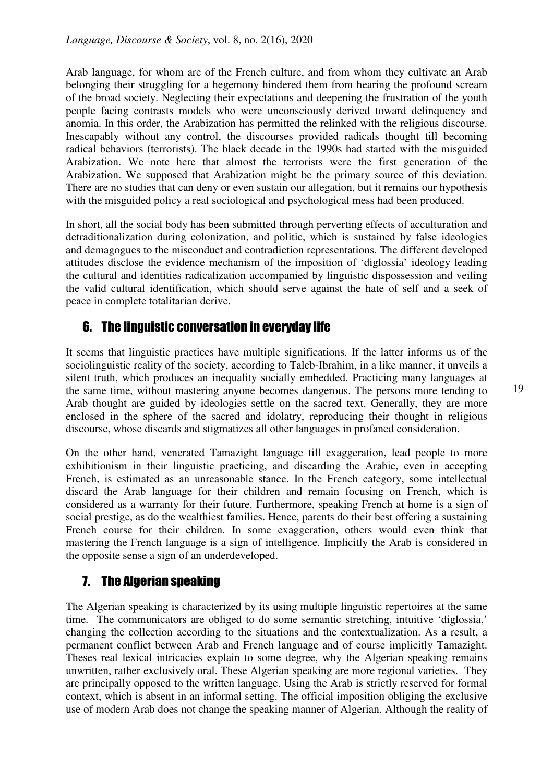Arab language, for whom are of the French culture, and from whom they cultivate an Arab belonging their struggling for a hegemony hindered them from hearing the profound scream of the broad society. Neglecting their expectations and deepening the frustration of the youth people facing contrasts models who were unconsciously derived toward delinquency and anomia. In this order, the Arabization has permitted the relinked with the religious discourse. Inescapably without any control, the discourses provided radicals thought till becoming radical behaviors (terrorists). The black decade in the 1990s had started with the misguided Arabization. We note here that almost the terrorists were the first generation of the Arabization. We supposed that Arabization might be the primary source of this deviation. There are no studies that can deny or even sustain our allegation, but it remains our hypothesis with the misguided policy a real sociological and psychological mess had been produced.

In short, all the social body has been submitted through perverting effects of acculturation and detraditionalization during colonization, and politic, which is sustained by false ideologies and demagogues to the misconduct and contradiction representations. The different developed attitudes disclose the evidence mechanism of the imposition of 'diglossia' ideology leading the cultural and identities radicalization accompanied by linguistic dispossession and veiling the valid cultural identification, which should serve against the hate of self and a seek of peace in complete totalitarian derive.

## 6. The linguistic conversation in everyday life

It seems that linguistic practices have multiple significations. If the latter informs us of the sociolinguistic reality of the society, according to Taleb-Ibrahim, in a like manner, it unveils a silent truth, which produces an inequality socially embedded. Practicing many languages at the same time, without mastering anyone becomes dangerous. The persons more tending to Arab thought are guided by ideologies settle on the sacred text. Generally, they are more enclosed in the sphere of the sacred and idolatry, reproducing their thought in religious discourse, whose discards and stigmatizes all other languages in profaned consideration.

On the other hand, venerated Tamazight language till exaggeration, lead people to more exhibitionism in their linguistic practicing, and discarding the Arabic, even in accepting French, is estimated as an unreasonable stance. In the French category, some intellectual discard the Arab language for their children and remain focusing on French, which is considered as a warranty for their future. Furthermore, speaking French at home is a sign of social prestige, as do the wealthiest families. Hence, parents do their best offering a sustaining French course for their children. In some exaggeration, others would even think that mastering the French language is a sign of intelligence. Implicitly the Arab is considered in the opposite sense a sign of an underdeveloped.

# 7. The Algerian speaking

The Algerian speaking is characterized by its using multiple linguistic repertoires at the same time. The communicators are obliged to do some semantic stretching, intuitive 'diglossia,' changing the collection according to the situations and the contextualization. As a result, a permanent conflict between Arab and French language and of course implicitly Tamazight. Theses real lexical intricacies explain to some degree, why the Algerian speaking remains unwritten, rather exclusively oral. These Algerian speaking are more regional varieties. They are principally opposed to the written language. Using the Arab is strictly reserved for formal context, which is absent in an informal setting. The official imposition obliging the exclusive use of modern Arab does not change the speaking manner of Algerian. Although the reality of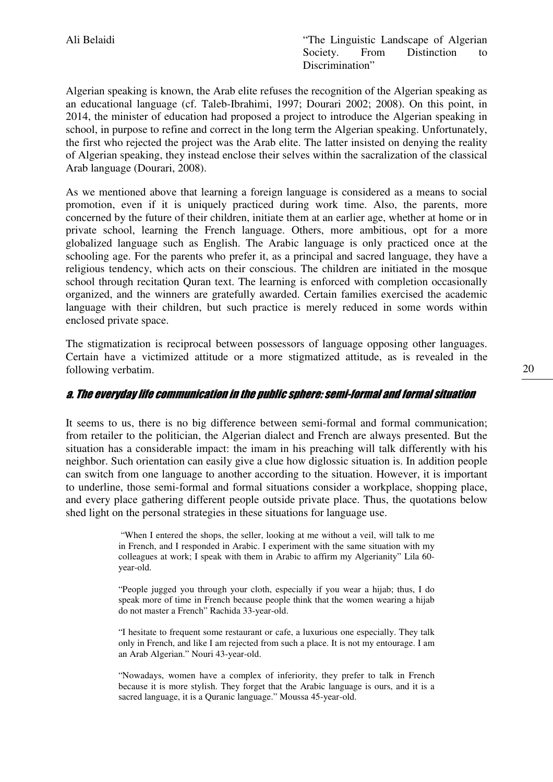Algerian speaking is known, the Arab elite refuses the recognition of the Algerian speaking as an educational language (cf. Taleb-Ibrahimi, 1997; Dourari 2002; 2008). On this point, in 2014, the minister of education had proposed a project to introduce the Algerian speaking in school, in purpose to refine and correct in the long term the Algerian speaking. Unfortunately, the first who rejected the project was the Arab elite. The latter insisted on denying the reality of Algerian speaking, they instead enclose their selves within the sacralization of the classical Arab language (Dourari, 2008).

As we mentioned above that learning a foreign language is considered as a means to social promotion, even if it is uniquely practiced during work time. Also, the parents, more concerned by the future of their children, initiate them at an earlier age, whether at home or in private school, learning the French language. Others, more ambitious, opt for a more globalized language such as English. The Arabic language is only practiced once at the schooling age. For the parents who prefer it, as a principal and sacred language, they have a religious tendency, which acts on their conscious. The children are initiated in the mosque school through recitation Quran text. The learning is enforced with completion occasionally organized, and the winners are gratefully awarded. Certain families exercised the academic language with their children, but such practice is merely reduced in some words within enclosed private space.

The stigmatization is reciprocal between possessors of language opposing other languages. Certain have a victimized attitude or a more stigmatized attitude, as is revealed in the following verbatim.

#### a. The everyday life communication in the public sphere: semi-formal and formal situation

It seems to us, there is no big difference between semi-formal and formal communication; from retailer to the politician, the Algerian dialect and French are always presented. But the situation has a considerable impact: the imam in his preaching will talk differently with his neighbor. Such orientation can easily give a clue how diglossic situation is. In addition people can switch from one language to another according to the situation. However, it is important to underline, those semi-formal and formal situations consider a workplace, shopping place, and every place gathering different people outside private place. Thus, the quotations below shed light on the personal strategies in these situations for language use.

> "When I entered the shops, the seller, looking at me without a veil, will talk to me in French, and I responded in Arabic. I experiment with the same situation with my colleagues at work; I speak with them in Arabic to affirm my Algerianity" Lila 60 year-old.

> "People jugged you through your cloth, especially if you wear a hijab; thus, I do speak more of time in French because people think that the women wearing a hijab do not master a French" Rachida 33-year-old.

> "I hesitate to frequent some restaurant or cafe, a luxurious one especially. They talk only in French, and like I am rejected from such a place. It is not my entourage. I am an Arab Algerian." Nouri 43-year-old.

> "Nowadays, women have a complex of inferiority, they prefer to talk in French because it is more stylish. They forget that the Arabic language is ours, and it is a sacred language, it is a Quranic language." Moussa 45-year-old.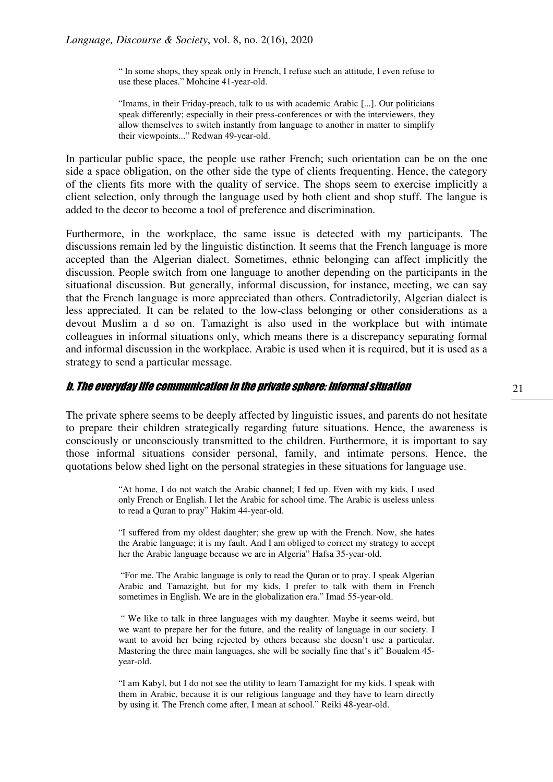" In some shops, they speak only in French, I refuse such an attitude, I even refuse to use these places." Mohcine 41-year-old.

"Imams, in their Friday-preach, talk to us with academic Arabic [...]. Our politicians speak differently; especially in their press-conferences or with the interviewers, they allow themselves to switch instantly from language to another in matter to simplify their viewpoints..." Redwan 49-year-old.

In particular public space, the people use rather French; such orientation can be on the one side a space obligation, on the other side the type of clients frequenting. Hence, the category of the clients fits more with the quality of service. The shops seem to exercise implicitly a client selection, only through the language used by both client and shop stuff. The langue is added to the decor to become a tool of preference and discrimination.

Furthermore, in the workplace, the same issue is detected with my participants. The discussions remain led by the linguistic distinction. It seems that the French language is more accepted than the Algerian dialect. Sometimes, ethnic belonging can affect implicitly the discussion. People switch from one language to another depending on the participants in the situational discussion. But generally, informal discussion, for instance, meeting, we can say that the French language is more appreciated than others. Contradictorily, Algerian dialect is less appreciated. It can be related to the low-class belonging or other considerations as a devout Muslim a d so on. Tamazight is also used in the workplace but with intimate colleagues in informal situations only, which means there is a discrepancy separating formal and informal discussion in the workplace. Arabic is used when it is required, but it is used as a strategy to send a particular message.

#### b. The everyday life communication in the private sphere: informal situation

The private sphere seems to be deeply affected by linguistic issues, and parents do not hesitate to prepare their children strategically regarding future situations. Hence, the awareness is consciously or unconsciously transmitted to the children. Furthermore, it is important to say those informal situations consider personal, family, and intimate persons. Hence, the quotations below shed light on the personal strategies in these situations for language use.

> "At home, I do not watch the Arabic channel; I fed up. Even with my kids, I used only French or English. I let the Arabic for school time. The Arabic is useless unless to read a Quran to pray" Hakim 44-year-old.

> "I suffered from my oldest daughter; she grew up with the French. Now, she hates the Arabic language; it is my fault. And I am obliged to correct my strategy to accept her the Arabic language because we are in Algeria" Hafsa 35-year-old.

> "For me. The Arabic language is only to read the Quran or to pray. I speak Algerian Arabic and Tamazight, but for my kids, I prefer to talk with them in French sometimes in English. We are in the globalization era." Imad 55-year-old.

> " We like to talk in three languages with my daughter. Maybe it seems weird, but we want to prepare her for the future, and the reality of language in our society. I want to avoid her being rejected by others because she doesn't use a particular. Mastering the three main languages, she will be socially fine that's it" Boualem 45 year-old.

> "I am Kabyl, but I do not see the utility to learn Tamazight for my kids. I speak with them in Arabic, because it is our religious language and they have to learn directly by using it. The French come after, I mean at school." Reiki 48-year-old.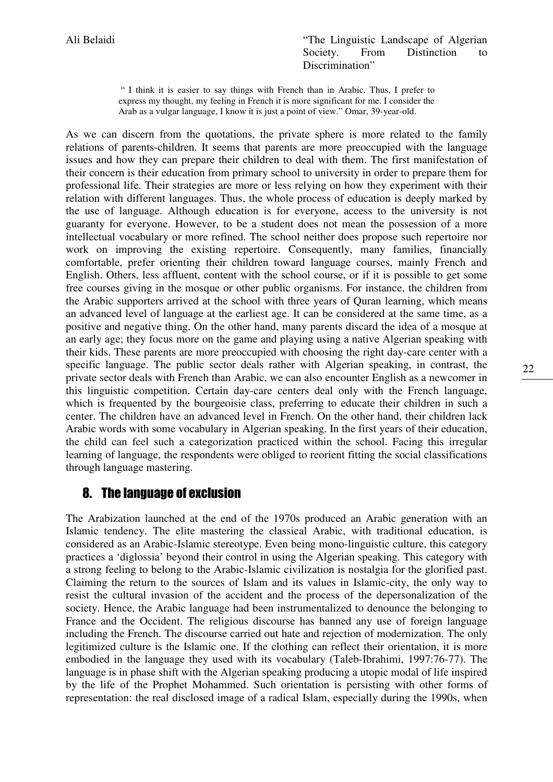> " I think it is easier to say things with French than in Arabic. Thus, I prefer to express my thought, my feeling in French it is more significant for me. I consider the Arab as a vulgar language, I know it is just a point of view." Omar, 39-year-old.

As we can discern from the quotations, the private sphere is more related to the family relations of parents-children. It seems that parents are more preoccupied with the language issues and how they can prepare their children to deal with them. The first manifestation of their concern is their education from primary school to university in order to prepare them for professional life. Their strategies are more or less relying on how they experiment with their relation with different languages. Thus, the whole process of education is deeply marked by the use of language. Although education is for everyone, access to the university is not guaranty for everyone. However, to be a student does not mean the possession of a more intellectual vocabulary or more refined. The school neither does propose such repertoire nor work on improving the existing repertoire. Consequently, many families, financially comfortable, prefer orienting their children toward language courses, mainly French and English. Others, less affluent, content with the school course, or if it is possible to get some free courses giving in the mosque or other public organisms. For instance, the children from the Arabic supporters arrived at the school with three years of Quran learning, which means an advanced level of language at the earliest age. It can be considered at the same time, as a positive and negative thing. On the other hand, many parents discard the idea of a mosque at an early age; they focus more on the game and playing using a native Algerian speaking with their kids. These parents are more preoccupied with choosing the right day-care center with a specific language. The public sector deals rather with Algerian speaking, in contrast, the private sector deals with French than Arabic, we can also encounter English as a newcomer in this linguistic competition. Certain day-care centers deal only with the French language, which is frequented by the bourgeoisie class, preferring to educate their children in such a center. The children have an advanced level in French. On the other hand, their children lack Arabic words with some vocabulary in Algerian speaking. In the first years of their education, the child can feel such a categorization practiced within the school. Facing this irregular learning of language, the respondents were obliged to reorient fitting the social classifications through language mastering.

### 8. The language of exclusion

The Arabization launched at the end of the 1970s produced an Arabic generation with an Islamic tendency. The elite mastering the classical Arabic, with traditional education, is considered as an Arabic-Islamic stereotype. Even being mono-linguistic culture, this category practices a 'diglossia' beyond their control in using the Algerian speaking. This category with a strong feeling to belong to the Arabic-Islamic civilization is nostalgia for the glorified past. Claiming the return to the sources of Islam and its values in Islamic-city, the only way to resist the cultural invasion of the accident and the process of the depersonalization of the society. Hence, the Arabic language had been instrumentalized to denounce the belonging to France and the Occident. The religious discourse has banned any use of foreign language including the French. The discourse carried out hate and rejection of modernization. The only legitimized culture is the Islamic one. If the clothing can reflect their orientation, it is more embodied in the language they used with its vocabulary (Taleb-Ibrahimi, 1997:76-77). The language is in phase shift with the Algerian speaking producing a utopic modal of life inspired by the life of the Prophet Mohammed. Such orientation is persisting with other forms of representation: the real disclosed image of a radical Islam, especially during the 1990s, when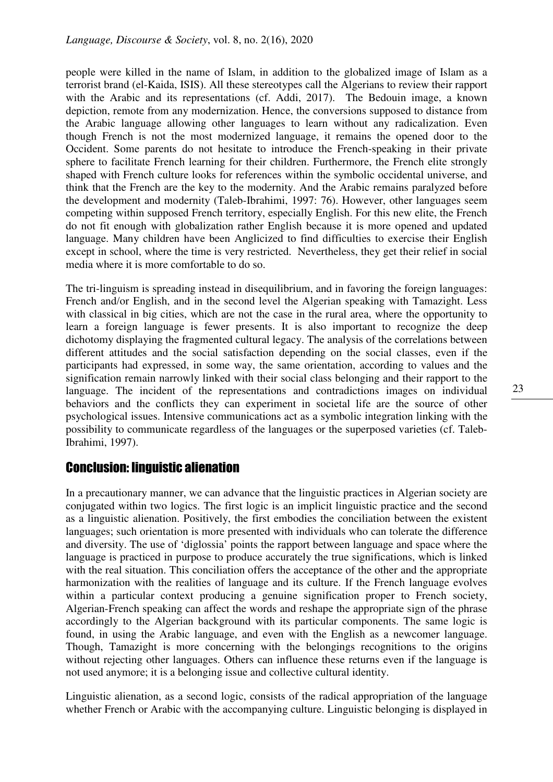people were killed in the name of Islam, in addition to the globalized image of Islam as a terrorist brand (el-Kaida, ISIS). All these stereotypes call the Algerians to review their rapport with the Arabic and its representations (cf. Addi, 2017). The Bedouin image, a known depiction, remote from any modernization. Hence, the conversions supposed to distance from the Arabic language allowing other languages to learn without any radicalization. Even though French is not the most modernized language, it remains the opened door to the Occident. Some parents do not hesitate to introduce the French-speaking in their private sphere to facilitate French learning for their children. Furthermore, the French elite strongly shaped with French culture looks for references within the symbolic occidental universe, and think that the French are the key to the modernity. And the Arabic remains paralyzed before the development and modernity (Taleb-Ibrahimi, 1997: 76). However, other languages seem competing within supposed French territory, especially English. For this new elite, the French do not fit enough with globalization rather English because it is more opened and updated language. Many children have been Anglicized to find difficulties to exercise their English except in school, where the time is very restricted. Nevertheless, they get their relief in social media where it is more comfortable to do so.

The tri-linguism is spreading instead in disequilibrium, and in favoring the foreign languages: French and/or English, and in the second level the Algerian speaking with Tamazight. Less with classical in big cities, which are not the case in the rural area, where the opportunity to learn a foreign language is fewer presents. It is also important to recognize the deep dichotomy displaying the fragmented cultural legacy. The analysis of the correlations between different attitudes and the social satisfaction depending on the social classes, even if the participants had expressed, in some way, the same orientation, according to values and the signification remain narrowly linked with their social class belonging and their rapport to the language. The incident of the representations and contradictions images on individual behaviors and the conflicts they can experiment in societal life are the source of other psychological issues. Intensive communications act as a symbolic integration linking with the possibility to communicate regardless of the languages or the superposed varieties (cf. Taleb-Ibrahimi, 1997).

### Conclusion: linguistic alienation

In a precautionary manner, we can advance that the linguistic practices in Algerian society are conjugated within two logics. The first logic is an implicit linguistic practice and the second as a linguistic alienation. Positively, the first embodies the conciliation between the existent languages; such orientation is more presented with individuals who can tolerate the difference and diversity. The use of 'diglossia' points the rapport between language and space where the language is practiced in purpose to produce accurately the true significations, which is linked with the real situation. This conciliation offers the acceptance of the other and the appropriate harmonization with the realities of language and its culture. If the French language evolves within a particular context producing a genuine signification proper to French society, Algerian-French speaking can affect the words and reshape the appropriate sign of the phrase accordingly to the Algerian background with its particular components. The same logic is found, in using the Arabic language, and even with the English as a newcomer language. Though, Tamazight is more concerning with the belongings recognitions to the origins without rejecting other languages. Others can influence these returns even if the language is not used anymore; it is a belonging issue and collective cultural identity.

Linguistic alienation, as a second logic, consists of the radical appropriation of the language whether French or Arabic with the accompanying culture. Linguistic belonging is displayed in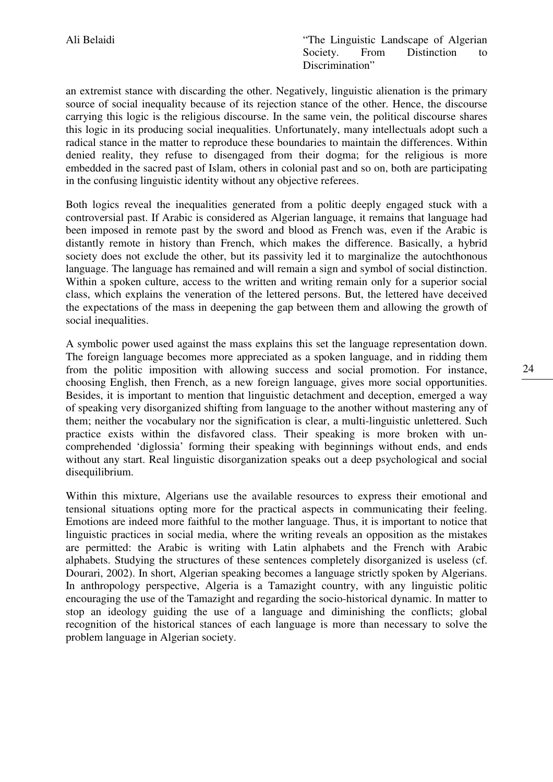an extremist stance with discarding the other. Negatively, linguistic alienation is the primary source of social inequality because of its rejection stance of the other. Hence, the discourse carrying this logic is the religious discourse. In the same vein, the political discourse shares this logic in its producing social inequalities. Unfortunately, many intellectuals adopt such a radical stance in the matter to reproduce these boundaries to maintain the differences. Within denied reality, they refuse to disengaged from their dogma; for the religious is more embedded in the sacred past of Islam, others in colonial past and so on, both are participating in the confusing linguistic identity without any objective referees.

Both logics reveal the inequalities generated from a politic deeply engaged stuck with a controversial past. If Arabic is considered as Algerian language, it remains that language had been imposed in remote past by the sword and blood as French was, even if the Arabic is distantly remote in history than French, which makes the difference. Basically, a hybrid society does not exclude the other, but its passivity led it to marginalize the autochthonous language. The language has remained and will remain a sign and symbol of social distinction. Within a spoken culture, access to the written and writing remain only for a superior social class, which explains the veneration of the lettered persons. But, the lettered have deceived the expectations of the mass in deepening the gap between them and allowing the growth of social inequalities.

A symbolic power used against the mass explains this set the language representation down. The foreign language becomes more appreciated as a spoken language, and in ridding them from the politic imposition with allowing success and social promotion. For instance, choosing English, then French, as a new foreign language, gives more social opportunities. Besides, it is important to mention that linguistic detachment and deception, emerged a way of speaking very disorganized shifting from language to the another without mastering any of them; neither the vocabulary nor the signification is clear, a multi-linguistic unlettered. Such practice exists within the disfavored class. Their speaking is more broken with uncomprehended 'diglossia' forming their speaking with beginnings without ends, and ends without any start. Real linguistic disorganization speaks out a deep psychological and social disequilibrium.

Within this mixture, Algerians use the available resources to express their emotional and tensional situations opting more for the practical aspects in communicating their feeling. Emotions are indeed more faithful to the mother language. Thus, it is important to notice that linguistic practices in social media, where the writing reveals an opposition as the mistakes are permitted: the Arabic is writing with Latin alphabets and the French with Arabic alphabets. Studying the structures of these sentences completely disorganized is useless (cf. Dourari, 2002). In short, Algerian speaking becomes a language strictly spoken by Algerians. In anthropology perspective, Algeria is a Tamazight country, with any linguistic politic encouraging the use of the Tamazight and regarding the socio-historical dynamic. In matter to stop an ideology guiding the use of a language and diminishing the conflicts; global recognition of the historical stances of each language is more than necessary to solve the problem language in Algerian society.